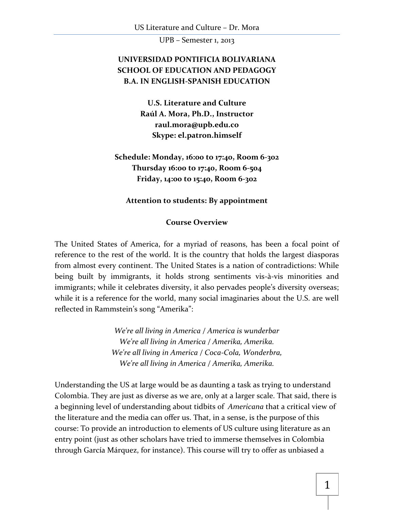## **UNIVERSIDAD PONTIFICIA BOLIVARIANA SCHOOL OF EDUCATION AND PEDAGOGY B.A. IN ENGLISH-SPANISH EDUCATION**

**U.S. Literature and Culture Raúl A. Mora, Ph.D., Instructor [raul.mora@upb.edu.co](mailto:raulmora@illinoisalumni.org) Skype: el.patron.himself**

**Schedule: Monday, 16:00 to 17:40, Room 6-302 Thursday 16:00 to 17:40, Room 6-504 Friday, 14:00 to 15:40, Room 6-302**

#### **Attention to students: By appointment**

#### **Course Overview**

The United States of America, for a myriad of reasons, has been a focal point of reference to the rest of the world. It is the country that holds the largest diasporas from almost every continent. The United States is a nation of contradictions: While being built by immigrants, it holds strong sentiments vis-à-vis minorities and immigrants; while it celebrates diversity, it also pervades people's diversity overseas; while it is a reference for the world, many social imaginaries about the U.S. are well reflected in Rammstein's song "Amerika":

> *We're all living in America / America is wunderbar We're all living in America / Amerika, Amerika. We're all living in America / Coca-Cola, Wonderbra, We're all living in America / Amerika, Amerika.*

Understanding the US at large would be as daunting a task as trying to understand Colombia. They are just as diverse as we are, only at a larger scale. That said, there is a beginning level of understanding about tidbits of *Americana* that a critical view of the literature and the media can offer us. That, in a sense, is the purpose of this course: To provide an introduction to elements of US culture using literature as an entry point (just as other scholars have tried to immerse themselves in Colombia through García Márquez, for instance). This course will try to offer as unbiased a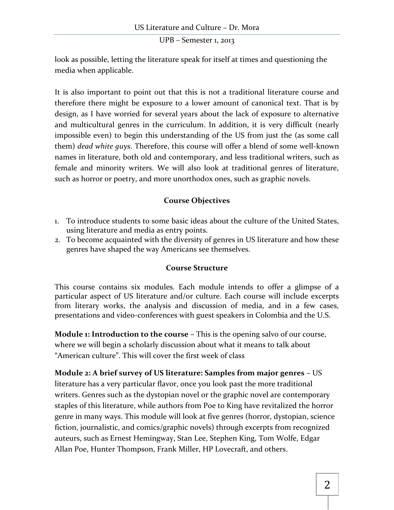look as possible, letting the literature speak for itself at times and questioning the media when applicable.

It is also important to point out that this is not a traditional literature course and therefore there might be exposure to a lower amount of canonical text. That is by design, as I have worried for several years about the lack of exposure to alternative and multicultural genres in the curriculum. In addition, it is very difficult (nearly impossible even) to begin this understanding of the US from just the (as some call them) *dead white guys.* Therefore, this course will offer a blend of some well-known names in literature, both old and contemporary, and less traditional writers, such as female and minority writers. We will also look at traditional genres of literature, such as horror or poetry, and more unorthodox ones, such as graphic novels.

## **Course Objectives**

- 1. To introduce students to some basic ideas about the culture of the United States, using literature and media as entry points.
- 2. To become acquainted with the diversity of genres in US literature and how these genres have shaped the way Americans see themselves.

## **Course Structure**

This course contains six modules. Each module intends to offer a glimpse of a particular aspect of US literature and/or culture. Each course will include excerpts from literary works, the analysis and discussion of media, and in a few cases, presentations and video-conferences with guest speakers in Colombia and the U.S.

**Module 1: Introduction to the course –** This is the opening salvo of our course, where we will begin a scholarly discussion about what it means to talk about "American culture". This will cover the first week of class

**Module 2: A brief survey of US literature: Samples from major genres –** US literature has a very particular flavor, once you look past the more traditional writers. Genres such as the dystopian novel or the graphic novel are contemporary staples of this literature, while authors from Poe to King have revitalized the horror genre in many ways. This module will look at five genres (horror, dystopian, science fiction, journalistic, and comics/graphic novels) through excerpts from recognized auteurs, such as Ernest Hemingway, Stan Lee, Stephen King, Tom Wolfe, Edgar Allan Poe, Hunter Thompson, Frank Miller, HP Lovecraft, and others.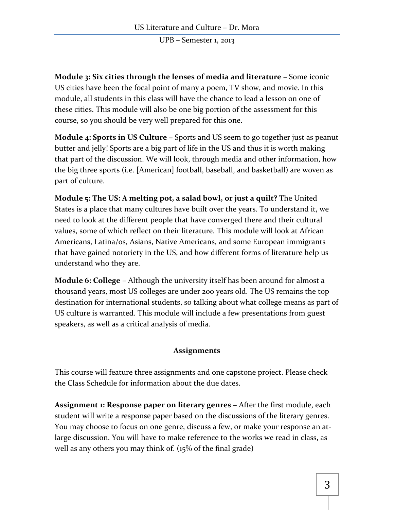**Module 3: Six cities through the lenses of media and literature –** Some iconic US cities have been the focal point of many a poem, TV show, and movie. In this module, all students in this class will have the chance to lead a lesson on one of these cities. This module will also be one big portion of the assessment for this course, so you should be very well prepared for this one.

**Module 4: Sports in US Culture –** Sports and US seem to go together just as peanut butter and jelly! Sports are a big part of life in the US and thus it is worth making that part of the discussion. We will look, through media and other information, how the big three sports (i.e. [American] football, baseball, and basketball) are woven as part of culture.

**Module 5: The US: A melting pot, a salad bowl, or just a quilt?** The United States is a place that many cultures have built over the years. To understand it, we need to look at the different people that have converged there and their cultural values, some of which reflect on their literature. This module will look at African Americans, Latina/os, Asians, Native Americans, and some European immigrants that have gained notoriety in the US, and how different forms of literature help us understand who they are.

**Module 6: College** – Although the university itself has been around for almost a thousand years, most US colleges are under 200 years old. The US remains the top destination for international students, so talking about what college means as part of US culture is warranted. This module will include a few presentations from guest speakers, as well as a critical analysis of media.

## **Assignments**

This course will feature three assignments and one capstone project. Please check the Class Schedule for information about the due dates.

**Assignment 1: Response paper on literary genres –** After the first module, each student will write a response paper based on the discussions of the literary genres. You may choose to focus on one genre, discuss a few, or make your response an atlarge discussion. You will have to make reference to the works we read in class, as well as any others you may think of. (15% of the final grade)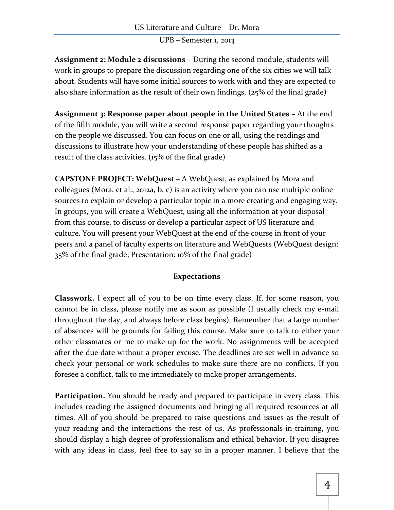**Assignment 2: Module 2 discussions –** During the second module, students will work in groups to prepare the discussion regarding one of the six cities we will talk about. Students will have some initial sources to work with and they are expected to also share information as the result of their own findings. (25% of the final grade)

**Assignment 3: Response paper about people in the United States – At the end** of the fifth module, you will write a second response paper regarding your thoughts on the people we discussed. You can focus on one or all, using the readings and discussions to illustrate how your understanding of these people has shifted as a result of the class activities. (15% of the final grade)

**CAPSTONE PROJECT: WebQuest –** A WebQuest, as explained by Mora and colleagues (Mora, et al., 2012a, b, c) is an activity where you can use multiple online sources to explain or develop a particular topic in a more creating and engaging way. In groups, you will create a WebQuest, using all the information at your disposal from this course, to discuss or develop a particular aspect of US literature and culture. You will present your WebQuest at the end of the course in front of your peers and a panel of faculty experts on literature and WebQuests (WebQuest design: 35% of the final grade; Presentation: 10% of the final grade)

## **Expectations**

**Classwork.** I expect all of you to be on time every class. If, for some reason, you cannot be in class, please notify me as soon as possible (I usually check my e-mail throughout the day, and always before class begins). Remember that a large number of absences will be grounds for failing this course. Make sure to talk to either your other classmates or me to make up for the work. No assignments will be accepted after the due date without a proper excuse. The deadlines are set well in advance so check your personal or work schedules to make sure there are no conflicts. If you foresee a conflict, talk to me immediately to make proper arrangements.

**Participation.** You should be ready and prepared to participate in every class. This includes reading the assigned documents and bringing all required resources at all times. All of you should be prepared to raise questions and issues as the result of your reading and the interactions the rest of us. As professionals-in-training, you should display a high degree of professionalism and ethical behavior. If you disagree with any ideas in class, feel free to say so in a proper manner. I believe that the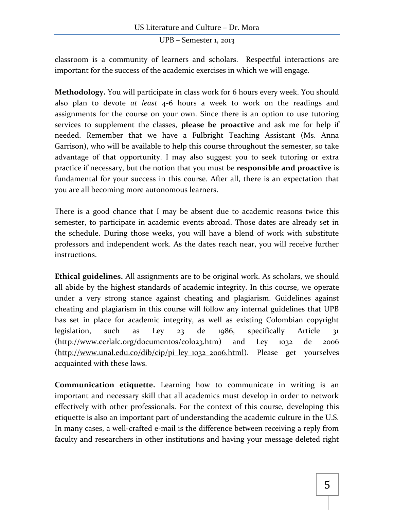classroom is a community of learners and scholars. Respectful interactions are important for the success of the academic exercises in which we will engage.

**Methodology.** You will participate in class work for 6 hours every week. You should also plan to devote *at least* 4-6 hours a week to work on the readings and assignments for the course on your own. Since there is an option to use tutoring services to supplement the classes, **please be proactive** and ask me for help if needed. Remember that we have a Fulbright Teaching Assistant (Ms. Anna Garrison), who will be available to help this course throughout the semester, so take advantage of that opportunity. I may also suggest you to seek tutoring or extra practice if necessary, but the notion that you must be **responsible and proactive** is fundamental for your success in this course. After all, there is an expectation that you are all becoming more autonomous learners.

There is a good chance that I may be absent due to academic reasons twice this semester, to participate in academic events abroad. Those dates are already set in the schedule. During those weeks, you will have a blend of work with substitute professors and independent work. As the dates reach near, you will receive further instructions.

**Ethical guidelines.** All assignments are to be original work. As scholars, we should all abide by the highest standards of academic integrity. In this course, we operate under a very strong stance against cheating and plagiarism. Guidelines against cheating and plagiarism in this course will follow any internal guidelines that UPB has set in place for academic integrity, as well as existing Colombian copyright legislation, such as Ley 23 de 1986, specifically Article 31 [\(http://www.cerlalc.org/documentos/colo23.htm\)](http://www.cerlalc.org/documentos/colo23.htm) and Ley 1032 de 2006 [\(http://www.unal.edu.co/dib/cip/pi\\_ley\\_1032\\_2006.html\)](http://www.unal.edu.co/dib/cip/pi_ley_1032_2006.html). Please get yourselves acquainted with these laws.

**Communication etiquette.** Learning how to communicate in writing is an important and necessary skill that all academics must develop in order to network effectively with other professionals. For the context of this course, developing this etiquette is also an important part of understanding the academic culture in the U.S. In many cases, a well-crafted e-mail is the difference between receiving a reply from faculty and researchers in other institutions and having your message deleted right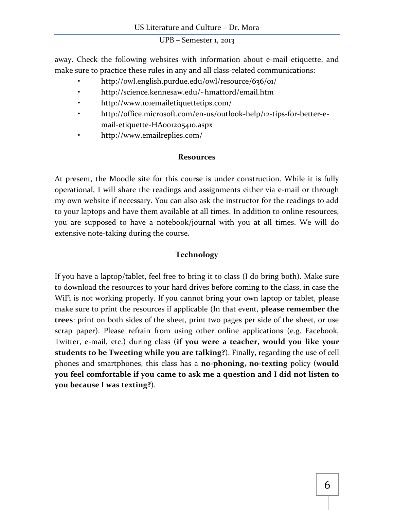away. Check the following websites with information about e-mail etiquette, and make sure to practice these rules in any and all class-related communications:

- http://owl.english.purdue.edu/owl/resource/636/01/
- http://science.kennesaw.edu/~hmattord/email.htm
- http://www.101emailetiquettetips.com/
- http://office.microsoft.com/en-us/outlook-help/12-tips-for-better-email-etiquette-HA001205410.aspx
- http://www.emailreplies.com/

#### **Resources**

At present, the Moodle site for this course is under construction. While it is fully operational, I will share the readings and assignments either via e-mail or through my own website if necessary. You can also ask the instructor for the readings to add to your laptops and have them available at all times. In addition to online resources, you are supposed to have a notebook/journal with you at all times. We will do extensive note-taking during the course.

### **Technology**

If you have a laptop/tablet, feel free to bring it to class (I do bring both). Make sure to download the resources to your hard drives before coming to the class, in case the WiFi is not working properly. If you cannot bring your own laptop or tablet, please make sure to print the resources if applicable (In that event, **please remember the trees**: print on both sides of the sheet, print two pages per side of the sheet, or use scrap paper). Please refrain from using other online applications (e.g. Facebook, Twitter, e-mail, etc.) during class (**if you were a teacher, would you like your students to be Tweeting while you are talking?**). Finally, regarding the use of cell phones and smartphones, this class has a **no-phoning, no-texting** policy (**would you feel comfortable if you came to ask me a question and I did not listen to you because I was texting?**).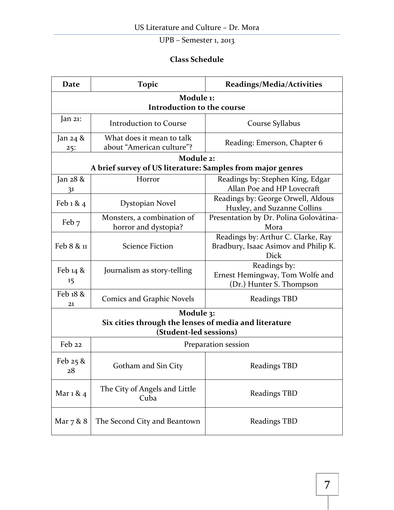## **Class Schedule**

| Date                                    | <b>Topic</b>                                               | Readings/Media/Activities              |  |  |
|-----------------------------------------|------------------------------------------------------------|----------------------------------------|--|--|
| Module 1:<br>Introduction to the course |                                                            |                                        |  |  |
|                                         |                                                            |                                        |  |  |
| Jan $21$ :                              | <b>Introduction to Course</b>                              | Course Syllabus                        |  |  |
| Jan 24 &<br>25:                         | What does it mean to talk<br>about "American culture"?     | Reading: Emerson, Chapter 6            |  |  |
|                                         | Module 2:                                                  |                                        |  |  |
|                                         | A brief survey of US literature: Samples from major genres |                                        |  |  |
| Jan 28 &                                | Horror                                                     | Readings by: Stephen King, Edgar       |  |  |
| 3 <sup>1</sup>                          |                                                            | Allan Poe and HP Lovecraft             |  |  |
|                                         | Dystopian Novel                                            | Readings by: George Orwell, Aldous     |  |  |
| Feb 1 & 4                               |                                                            | Huxley, and Suzanne Collins            |  |  |
| Feb 7                                   | Monsters, a combination of                                 | Presentation by Dr. Polina Golovátina- |  |  |
|                                         | horror and dystopia?                                       | Mora                                   |  |  |
|                                         | <b>Science Fiction</b>                                     | Readings by: Arthur C. Clarke, Ray     |  |  |
| Feb 8 & 11                              |                                                            | Bradbury, Isaac Asimov and Philip K.   |  |  |
|                                         |                                                            | Dick                                   |  |  |
| Feb $14$ &                              | Journalism as story-telling                                | Readings by:                           |  |  |
|                                         |                                                            | Ernest Hemingway, Tom Wolfe and        |  |  |
| 15                                      |                                                            | (Dr.) Hunter S. Thompson               |  |  |
| Feb 18 &<br>21                          | <b>Comics and Graphic Novels</b>                           | <b>Readings TBD</b>                    |  |  |
| Module 3:                               |                                                            |                                        |  |  |
|                                         | Six cities through the lenses of media and literature      |                                        |  |  |
|                                         | (Student-led sessions)                                     |                                        |  |  |
| Feb 22                                  | Preparation session                                        |                                        |  |  |
| Feb $25$ &<br>28                        | Gotham and Sin City                                        | Readings TBD                           |  |  |
| Mar 1 & 4                               | The City of Angels and Little<br>Cuba                      | Readings TBD                           |  |  |
| Mar 7 & 8                               | The Second City and Beantown                               | <b>Readings TBD</b>                    |  |  |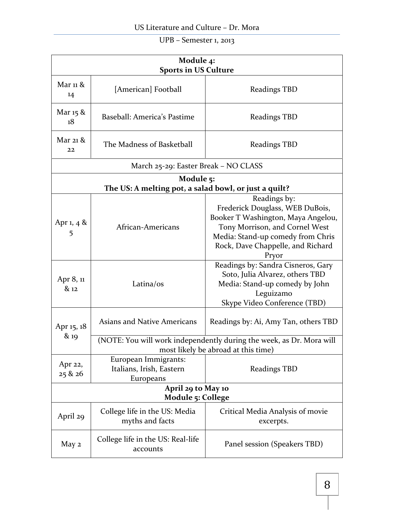| Module 4:<br><b>Sports in US Culture</b> |                                                                                                             |                                                                                                                                                                                                            |  |  |
|------------------------------------------|-------------------------------------------------------------------------------------------------------------|------------------------------------------------------------------------------------------------------------------------------------------------------------------------------------------------------------|--|--|
| Mar 11 &<br>14                           | [American] Football                                                                                         | <b>Readings TBD</b>                                                                                                                                                                                        |  |  |
| Mar 15 &<br>18                           | Baseball: America's Pastime                                                                                 | <b>Readings TBD</b>                                                                                                                                                                                        |  |  |
| Mar 21 $\&$<br>22                        | The Madness of Basketball                                                                                   | <b>Readings TBD</b>                                                                                                                                                                                        |  |  |
|                                          | March 25-29: Easter Break – NO CLASS                                                                        |                                                                                                                                                                                                            |  |  |
| Module 5:                                |                                                                                                             |                                                                                                                                                                                                            |  |  |
|                                          | The US: A melting pot, a salad bowl, or just a quilt?                                                       |                                                                                                                                                                                                            |  |  |
| Apr 1, 4 $\&$<br>5                       | African-Americans                                                                                           | Readings by:<br>Frederick Douglass, WEB DuBois,<br>Booker T Washington, Maya Angelou,<br>Tony Morrison, and Cornel West<br>Media: Stand-up comedy from Chris<br>Rock, Dave Chappelle, and Richard<br>Pryor |  |  |
| Apr 8, 11<br>& 12                        | Latina/os                                                                                                   | Readings by: Sandra Cisneros, Gary<br>Soto, Julia Alvarez, others TBD<br>Media: Stand-up comedy by John<br>Leguizamo<br>Skype Video Conference (TBD)                                                       |  |  |
| Apr 15, 18<br>& 19                       | <b>Asians and Native Americans</b>                                                                          | Readings by: Ai, Amy Tan, others TBD                                                                                                                                                                       |  |  |
|                                          | (NOTE: You will work independently during the week, as Dr. Mora will<br>most likely be abroad at this time) |                                                                                                                                                                                                            |  |  |
| Apr 22,<br>25 & 26                       | European Immigrants:<br>Italians, Irish, Eastern<br>Europeans                                               | <b>Readings TBD</b>                                                                                                                                                                                        |  |  |
| April 29 to May 10<br>Module 5: College  |                                                                                                             |                                                                                                                                                                                                            |  |  |
| April 29                                 | College life in the US: Media<br>myths and facts                                                            | Critical Media Analysis of movie<br>excerpts.                                                                                                                                                              |  |  |
| May 2                                    | College life in the US: Real-life<br>accounts                                                               | Panel session (Speakers TBD)                                                                                                                                                                               |  |  |